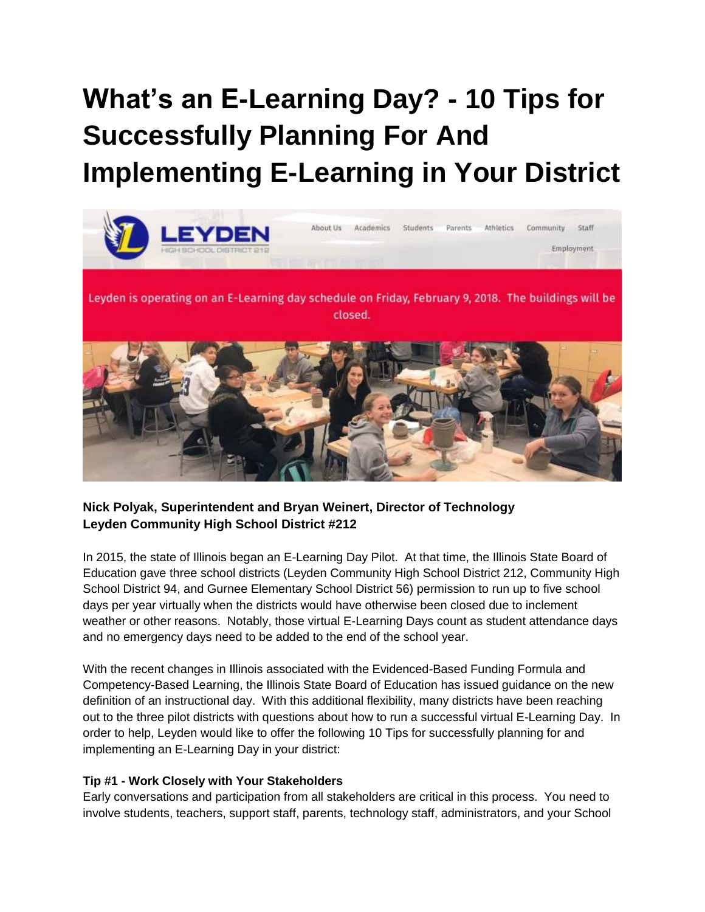# **What's an E-Learning Day? - 10 Tips for Successfully Planning For And Implementing E-Learning in Your District**



## **Nick Polyak, Superintendent and Bryan Weinert, Director of Technology Leyden Community High School District #212**

In 2015, the state of Illinois began an E-Learning Day Pilot. At that time, the Illinois State Board of Education gave three school districts (Leyden Community High School District 212, Community High School District 94, and Gurnee Elementary School District 56) permission to run up to five school days per year virtually when the districts would have otherwise been closed due to inclement weather or other reasons. Notably, those virtual E-Learning Days count as student attendance days and no emergency days need to be added to the end of the school year.

With the recent changes in Illinois associated with the Evidenced-Based Funding Formula and Competency-Based Learning, the Illinois State Board of Education has issued guidance on the new definition of an instructional day. With this additional flexibility, many districts have been reaching out to the three pilot districts with questions about how to run a successful virtual E-Learning Day. In order to help, Leyden would like to offer the following 10 Tips for successfully planning for and implementing an E-Learning Day in your district:

### **Tip #1 - Work Closely with Your Stakeholders**

Early conversations and participation from all stakeholders are critical in this process. You need to involve students, teachers, support staff, parents, technology staff, administrators, and your School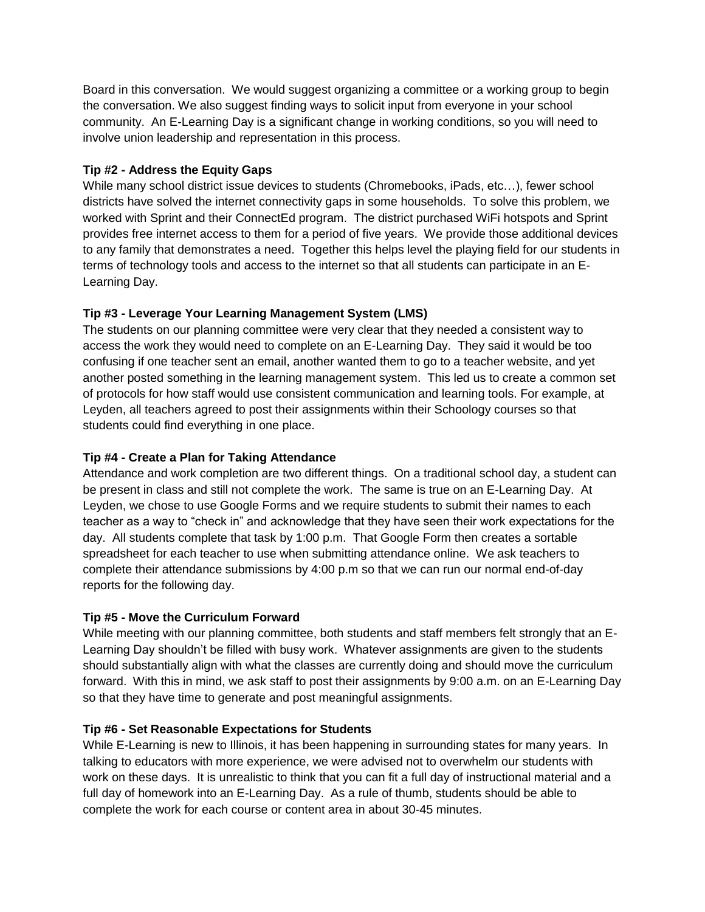Board in this conversation. We would suggest organizing a committee or a working group to begin the conversation. We also suggest finding ways to solicit input from everyone in your school community. An E-Learning Day is a significant change in working conditions, so you will need to involve union leadership and representation in this process.

## **Tip #2 - Address the Equity Gaps**

While many school district issue devices to students (Chromebooks, iPads, etc…), fewer school districts have solved the internet connectivity gaps in some households. To solve this problem, we worked with Sprint and their ConnectEd program. The district purchased WiFi hotspots and Sprint provides free internet access to them for a period of five years. We provide those additional devices to any family that demonstrates a need. Together this helps level the playing field for our students in terms of technology tools and access to the internet so that all students can participate in an E-Learning Day.

## **Tip #3 - Leverage Your Learning Management System (LMS)**

The students on our planning committee were very clear that they needed a consistent way to access the work they would need to complete on an E-Learning Day. They said it would be too confusing if one teacher sent an email, another wanted them to go to a teacher website, and yet another posted something in the learning management system. This led us to create a common set of protocols for how staff would use consistent communication and learning tools. For example, at Leyden, all teachers agreed to post their assignments within their Schoology courses so that students could find everything in one place.

## **Tip #4 - Create a Plan for Taking Attendance**

Attendance and work completion are two different things. On a traditional school day, a student can be present in class and still not complete the work. The same is true on an E-Learning Day. At Leyden, we chose to use Google Forms and we require students to submit their names to each teacher as a way to "check in" and acknowledge that they have seen their work expectations for the day. All students complete that task by 1:00 p.m. That Google Form then creates a sortable spreadsheet for each teacher to use when submitting attendance online. We ask teachers to complete their attendance submissions by 4:00 p.m so that we can run our normal end-of-day reports for the following day.

## **Tip #5 - Move the Curriculum Forward**

While meeting with our planning committee, both students and staff members felt strongly that an E-Learning Day shouldn't be filled with busy work. Whatever assignments are given to the students should substantially align with what the classes are currently doing and should move the curriculum forward. With this in mind, we ask staff to post their assignments by 9:00 a.m. on an E-Learning Day so that they have time to generate and post meaningful assignments.

## **Tip #6 - Set Reasonable Expectations for Students**

While E-Learning is new to Illinois, it has been happening in surrounding states for many years. In talking to educators with more experience, we were advised not to overwhelm our students with work on these days. It is unrealistic to think that you can fit a full day of instructional material and a full day of homework into an E-Learning Day. As a rule of thumb, students should be able to complete the work for each course or content area in about 30-45 minutes.